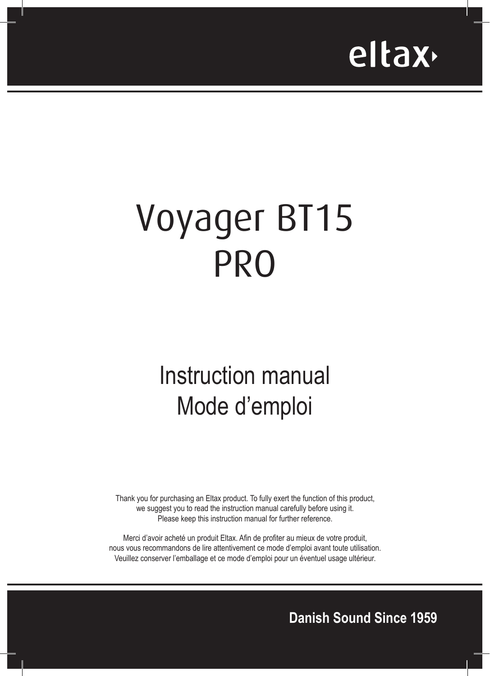

# Voyager BT15 PRO

## Instruction manual Mode d'emploi

Thank you for purchasing an Eltax product. To fully exert the function of this product, we suggest you to read the instruction manual carefully before using it. Please keep this instruction manual for further reference.

Merci d'avoir acheté un produit Eltax. Afin de profiter au mieux de votre produit, nous vous recommandons de lire attentivement ce mode d'emploi avant toute utilisation. Veuillez conserver l'emballage et ce mode d'emploi pour un éventuel usage ultérieur.

**Danish Sound Since 1959**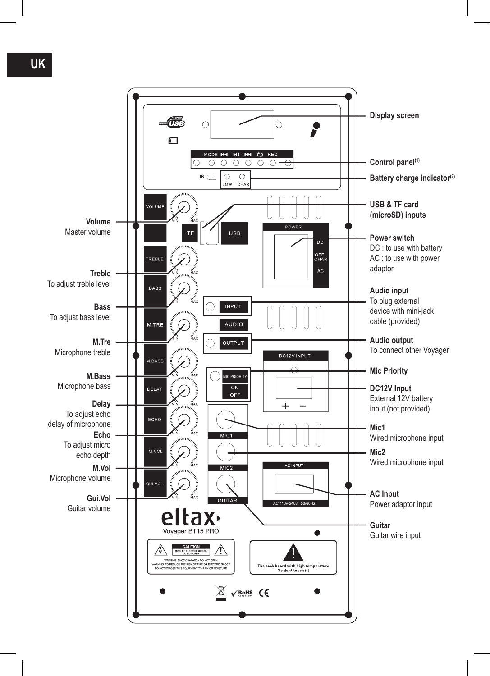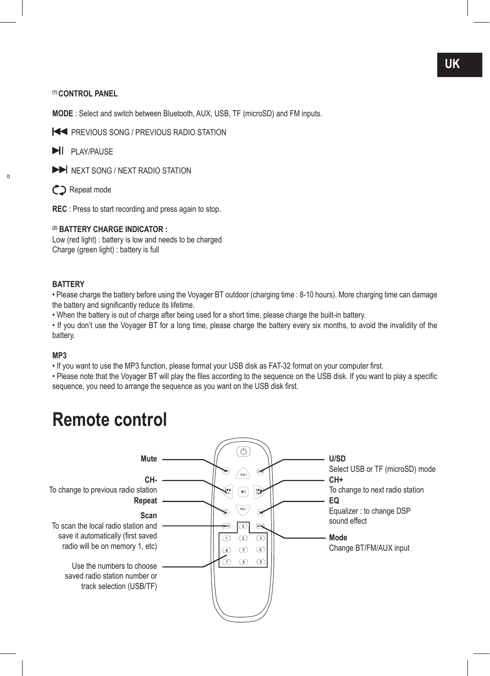#### **(1) CONTROL PANEL**

**MODE** : Select and switch between Bluetooth, AUX, USB, TF (microSD) and FM inputs.

**PREVIOUS SONG / PREVIOUS RADIO STATION** 

**PLAY/PAUSE** 

 $\blacktriangleright$  NEXT SONG / NEXT RADIO STATION

Repeat mode

**Battery charge indicator(2)**

**REC** : Press to start recording and press again to stop.

#### **(2) BATTERY CHARGE INDICATOR :**

Low (red light) : battery is low and needs to be charged Charge (green light) : battery is full

#### **BATTERY**

• Please charge the battery before using the Voyager BT outdoor (charging time : 8-10 hours). More charging time can damage the battery and significantly reduce its lifetime.

• When the battery is out of charge after being used for a short time, please charge the built-in battery.

• If you don't use the Voyager BT for a long time, please charge the battery every six months, to avoid the invalidity of the battery.

#### **MP3**

• If you want to use the MP3 function, please format your USB disk as FAT-32 format on your computer first.

• Please note that the Voyager BT will play the files according to the sequence on the USB disk. If you want to play a specific sequence, you need to arrange the sequence as you want on the USB disk first.

### **Remote control**

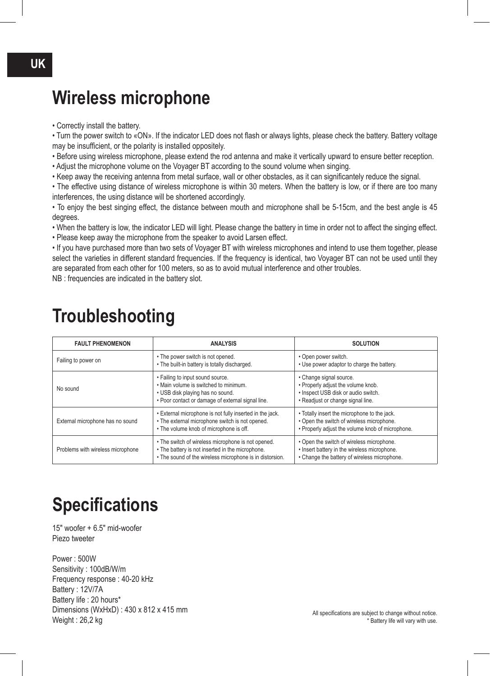### **Wireless microphone**

• Correctly install the battery.

• Turn the power switch to «ON». If the indicator LED does not flash or always lights, please check the battery. Battery voltage may be insufficient, or the polarity is installed oppositely.

• Before using wireless microphone, please extend the rod antenna and make it vertically upward to ensure better reception.

- Adjust the microphone volume on the Voyager BT according to the sound volume when singing.
- Keep away the receiving antenna from metal surface, wall or other obstacles, as it can significantely reduce the signal.

• The effective using distance of wireless microphone is within 30 meters. When the battery is low, or if there are too many interferences, the using distance will be shortened accordingly.

• To enjoy the best singing effect, the distance between mouth and microphone shall be 5-15cm, and the best angle is 45 degrees.

• When the battery is low, the indicator LED will light. Please change the battery in time in order not to affect the singing effect.

• Please keep away the microphone from the speaker to avoid Larsen effect.

• If you have purchased more than two sets of Voyager BT with wireless microphones and intend to use them together, please select the varieties in different standard frequencies. If the frequency is identical, two Voyager BT can not be used until they are separated from each other for 100 meters, so as to avoid mutual interference and other troubles.

NB : frequencies are indicated in the battery slot.

| <b>FAULT PHENOMENON</b>           | <b>ANALYSIS</b>                                                                                                                                                    | <b>SOLUTION</b>                                                                                                                               |
|-----------------------------------|--------------------------------------------------------------------------------------------------------------------------------------------------------------------|-----------------------------------------------------------------------------------------------------------------------------------------------|
| Failing to power on               | • The power switch is not opened.<br>. The built-in battery is totally discharged.                                                                                 | • Open power switch.<br>• Use power adaptor to charge the battery.                                                                            |
| No sound                          | • Failing to input sound source.<br>. Main volume is switched to minimum.<br>• USB disk playing has no sound.<br>. Poor contact or damage of external signal line. | • Change signal source.<br>• Properly adjust the volume knob.<br>· Inspect USB disk or audio switch.<br>• Readjust or change signal line.     |
| External microphone has no sound  | . External microphone is not fully inserted in the jack.<br>• The external microphone switch is not opened.<br>• The volume knob of microphone is off.             | • Totally insert the microphone to the jack.<br>• Open the switch of wireless microphone.<br>• Properly adjust the volume knob of microphone. |
| Problems with wireless microphone | • The switch of wireless microphone is not opened.<br>• The battery is not inserted in the microphone.<br>• The sound of the wireless microphone is in distorsion. | • Open the switch of wireless microphone.<br>• Insert battery in the wireless microphone.<br>• Change the battery of wireless microphone.     |

### **Troubleshooting**

### **Specifications**

15" woofer + 6.5" mid-woofer Piezo tweeter

Power : 500W Sensitivity : 100dB/W/m Frequency response : 40-20 kHz Battery : 12V/7A Battery life : 20 hours\* Dimensions (WxHxD) : 430 x 812 x 415 mm Weight : 26,2 kg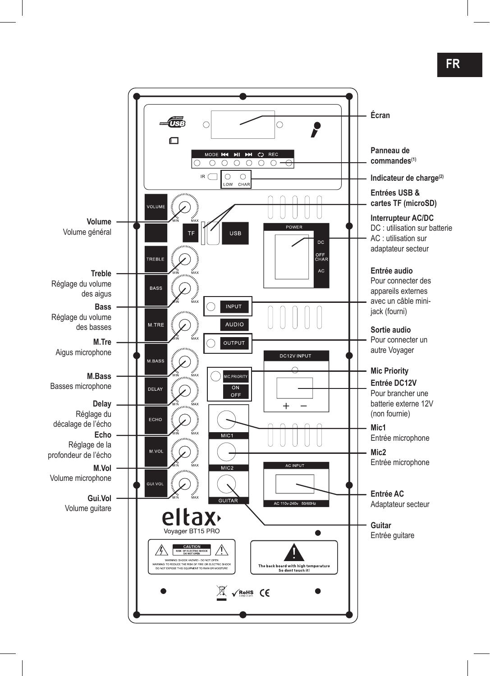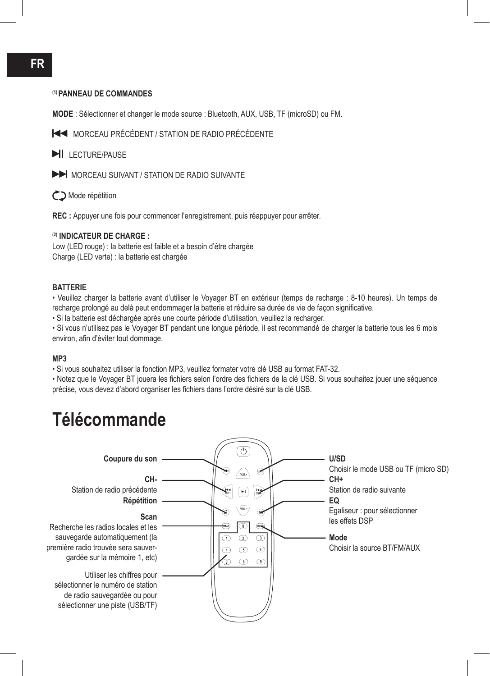#### **(1) PANNEAU DE COMMANDES**

**MODE** : Sélectionner et changer le mode source : Bluetooth, AUX, USB, TF (microSD) ou FM.

MORCEAU PRÉCÉDENT / STATION DE RADIO PRÉCÉDENTE

**LECTURE/PAUSE** 

MORCEAU SUIVANT / STATION DE RADIO SUIVANTE

Mode répétition

**REC :** Appuyer une fois pour commencer l'enregistrement, puis réappuyer pour arrêter.

#### **(2) INDICATEUR DE CHARGE :**

Low (LED rouge) : la batterie est faible et a besoin d'être chargée Charge (LED verte) : la batterie est chargée

#### **BATTERIE**

• Veuillez charger la batterie avant d'utiliser le Voyager BT en extérieur (temps de recharge : 8-10 heures). Un temps de recharge prolongé au delà peut endommager la batterie et réduire sa durée de vie de façon significative.

• Si la batterie est déchargée après une courte période d'utilisation, veuillez la recharger.

• Si vous n'utilisez pas le Voyager BT pendant une longue période, il est recommandé de charger la batterie tous les 6 mois environ, afin d'éviter tout dommage.

#### **MP3**

• Si vous souhaitez utiliser la fonction MP3, veuillez formater votre clé USB au format FAT-32.

• Notez que le Voyager BT jouera les fichiers selon l'ordre des fichiers de la clé USB. Si vous souhaitez jouer une séquence précise, vous devez d'abord organiser les fichiers dans l'ordre désiré sur la clé USB.

### **Télécommande**



#### **FR**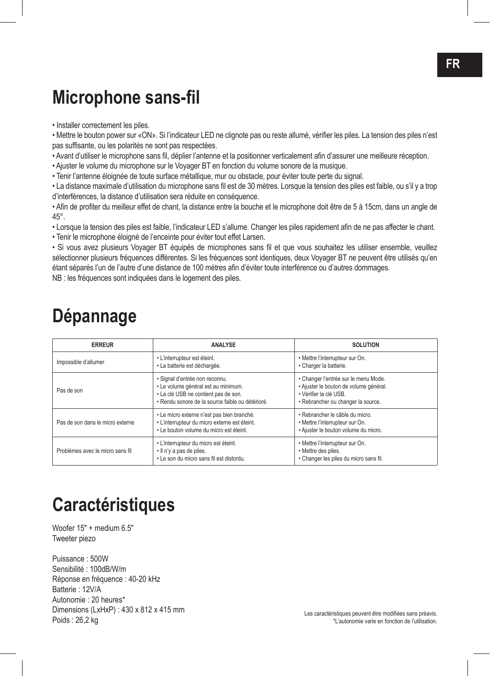### **Microphone sans-fil**

• Installer correctement les piles.

• Mettre le bouton power sur «ON». Si l'indicateur LED ne clignote pas ou reste allumé, vérifier les piles. La tension des piles n'est pas suffisante, ou les polarités ne sont pas respectées.

• Avant d'utiliser le microphone sans fil, déplier l'antenne et la positionner verticalement afin d'assurer une meilleure réception.

• Ajuster le volume du microphone sur le Voyager BT en fonction du volume sonore de la musique.

• Tenir l'antenne éloignée de toute surface métallique, mur ou obstacle, pour éviter toute perte du signal.

• La distance maximale d'utilisation du microphone sans fil est de 30 mètres. Lorsque la tension des piles est faible, ou s'il y a trop d'interférences, la distance d'utilisation sera réduite en conséquence.

• Afin de profiter du meilleur effet de chant, la distance entre la bouche et le microphone doit être de 5 à 15cm, dans un angle de 45°.

• Lorsque la tension des piles est faible, l'indicateur LED s'allume. Changer les piles rapidement afin de ne pas affecter le chant.

• Tenir le microphone éloigné de l'enceinte pour éviter tout effet Larsen.

• Si vous avez plusieurs Voyager BT équipés de microphones sans fil et que vous souhaitez les utiliser ensemble, veuillez sélectionner plusieurs fréquences différentes. Si les fréquences sont identiques, deux Voyager BT ne peuvent être utilisés qu'en étant séparés l'un de l'autre d'une distance de 100 mètres afin d'éviter toute interférence ou d'autres dommages. NB : les fréquences sont indiquées dans le logement des piles.

### **Dépannage**

| <b>ERREUR</b>                    | <b>ANALYSE</b>                                                                                                                                                    | <b>SOLUTION</b>                                                                                                                                |
|----------------------------------|-------------------------------------------------------------------------------------------------------------------------------------------------------------------|------------------------------------------------------------------------------------------------------------------------------------------------|
| Impossible d'allumer             | • L'interrupteur est éteint.<br>· La batterie est déchargée.                                                                                                      | • Mettre l'interrupteur sur On.<br>· Charger la batterie.                                                                                      |
| Pas de son                       | · Signal d'entrée non reconnu.<br>· Le volume général est au minimum.<br>• La clé USB ne contient pas de son.<br>· Rendu sonore de la source faible ou détérioré. | • Changer l'entrée sur le menu Mode.<br>· Ajuster le bouton de volume général.<br>· Vérifier la clé USB.<br>· Rebrancher ou changer la source. |
| Pas de son dans le micro externe | · Le micro externe n'est pas bien branché.<br>· L'interrupteur du micro externe est éteint.<br>. Le bouton volume du micro est éteint.                            | · Rebrancher le câble du micro.<br>• Mettre l'interrupteur sur On.<br>· Ajuster le bouton volume du micro.                                     |
| Problèmes avec le micro sans fil | · L'interrupteur du micro est éteint.<br>. Il n'y a pas de piles.<br>• Le son du micro sans fil est distordu.                                                     | • Mettre l'interrupteur sur On.<br>• Mettre des piles.<br>· Changer les piles du micro sans fil.                                               |

### **Caractéristiques**

Woofer 15" + medium 6.5" Tweeter piezo

Puissance : 500W Sensibilité : 100dB/W/m Réponse en fréquence : 40-20 kHz Batterie : 12V/A Autonomie : 20 heures\* Dimensions (LxHxP) : 430 x 812 x 415 mm Poids : 26,2 kg